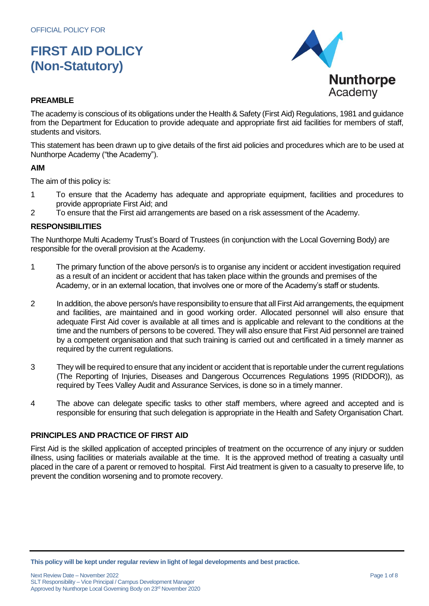

## **PREAMBLE**

The academy is conscious of its obligations under the Health & Safety (First Aid) Regulations, 1981 and guidance from the Department for Education to provide adequate and appropriate first aid facilities for members of staff, students and visitors.

This statement has been drawn up to give details of the first aid policies and procedures which are to be used at Nunthorpe Academy ("the Academy").

### **AIM**

The aim of this policy is:

- 1 To ensure that the Academy has adequate and appropriate equipment, facilities and procedures to provide appropriate First Aid; and
- 2 To ensure that the First aid arrangements are based on a risk assessment of the Academy.

### **RESPONSIBILITIES**

The Nunthorpe Multi Academy Trust's Board of Trustees (in conjunction with the Local Governing Body) are responsible for the overall provision at the Academy.

- 1 The primary function of the above person/s is to organise any incident or accident investigation required as a result of an incident or accident that has taken place within the grounds and premises of the Academy, or in an external location, that involves one or more of the Academy's staff or students.
- 2 In addition, the above person/s have responsibility to ensure that all First Aid arrangements, the equipment and facilities, are maintained and in good working order. Allocated personnel will also ensure that adequate First Aid cover is available at all times and is applicable and relevant to the conditions at the time and the numbers of persons to be covered. They will also ensure that First Aid personnel are trained by a competent organisation and that such training is carried out and certificated in a timely manner as required by the current regulations.
- 3 They will be required to ensure that any incident or accident that is reportable under the current regulations (The Reporting of Injuries, Diseases and Dangerous Occurrences Regulations 1995 (RIDDOR)), as required by Tees Valley Audit and Assurance Services, is done so in a timely manner.
- 4 The above can delegate specific tasks to other staff members, where agreed and accepted and is responsible for ensuring that such delegation is appropriate in the Health and Safety Organisation Chart.

### **PRINCIPLES AND PRACTICE OF FIRST AID**

First Aid is the skilled application of accepted principles of treatment on the occurrence of any injury or sudden illness, using facilities or materials available at the time. It is the approved method of treating a casualty until placed in the care of a parent or removed to hospital. First Aid treatment is given to a casualty to preserve life, to prevent the condition worsening and to promote recovery.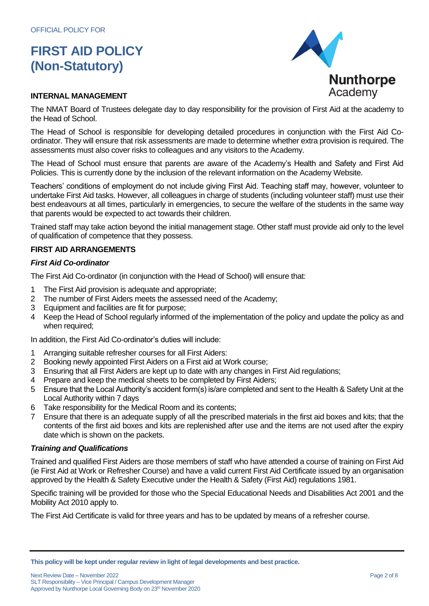

#### **INTERNAL MANAGEMENT**

The NMAT Board of Trustees delegate day to day responsibility for the provision of First Aid at the academy to the Head of School.

The Head of School is responsible for developing detailed procedures in conjunction with the First Aid Coordinator. They will ensure that risk assessments are made to determine whether extra provision is required. The assessments must also cover risks to colleagues and any visitors to the Academy.

The Head of School must ensure that parents are aware of the Academy's Health and Safety and First Aid Policies. This is currently done by the inclusion of the relevant information on the Academy Website.

Teachers' conditions of employment do not include giving First Aid. Teaching staff may, however, volunteer to undertake First Aid tasks. However, all colleagues in charge of students (including volunteer staff) must use their best endeavours at all times, particularly in emergencies, to secure the welfare of the students in the same way that parents would be expected to act towards their children.

Trained staff may take action beyond the initial management stage. Other staff must provide aid only to the level of qualification of competence that they possess.

## **FIRST AID ARRANGEMENTS**

### *First Aid Co-ordinator*

The First Aid Co-ordinator (in conjunction with the Head of School) will ensure that:

- 1 The First Aid provision is adequate and appropriate;
- 2 The number of First Aiders meets the assessed need of the Academy;
- 3 Equipment and facilities are fit for purpose;
- 4 Keep the Head of School regularly informed of the implementation of the policy and update the policy as and when required;

In addition, the First Aid Co-ordinator's duties will include:

- 1 Arranging suitable refresher courses for all First Aiders:
- 2 Booking newly appointed First Aiders on a First aid at Work course;
- 3 Ensuring that all First Aiders are kept up to date with any changes in First Aid regulations;
- 4 Prepare and keep the medical sheets to be completed by First Aiders;
- 5 Ensure that the Local Authority's accident form(s) is/are completed and sent to the Health & Safety Unit at the Local Authority within 7 days
- 6 Take responsibility for the Medical Room and its contents;
- 7 Ensure that there is an adequate supply of all the prescribed materials in the first aid boxes and kits; that the contents of the first aid boxes and kits are replenished after use and the items are not used after the expiry date which is shown on the packets.

#### *Training and Qualifications*

Trained and qualified First Aiders are those members of staff who have attended a course of training on First Aid (ie First Aid at Work or Refresher Course) and have a valid current First Aid Certificate issued by an organisation approved by the Health & Safety Executive under the Health & Safety (First Aid) regulations 1981.

Specific training will be provided for those who the Special Educational Needs and Disabilities Act 2001 and the Mobility Act 2010 apply to.

The First Aid Certificate is valid for three years and has to be updated by means of a refresher course.

Next Review Date – November 2022 **Page 2 of 8** SLT Responsibility – Vice Principal / Campus Development Manager Approved by Nunthorpe Local Governing Body on 23rd November 2020

**This policy will be kept under regular review in light of legal developments and best practice.**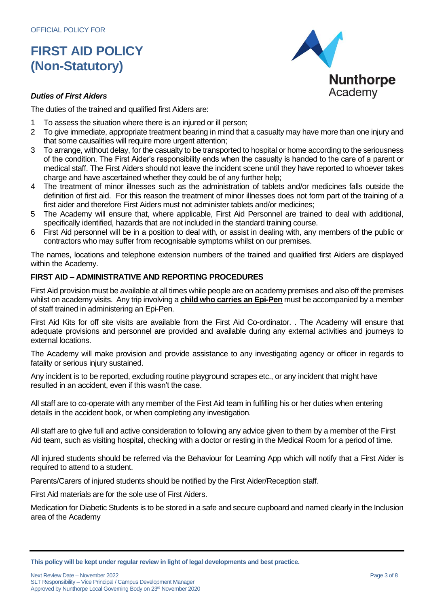

### *Duties of First Aiders*

The duties of the trained and qualified first Aiders are:

- 1 To assess the situation where there is an injured or ill person;
- 2 To give immediate, appropriate treatment bearing in mind that a casualty may have more than one injury and that some causalities will require more urgent attention;
- 3 To arrange, without delay, for the casualty to be transported to hospital or home according to the seriousness of the condition. The First Aider's responsibility ends when the casualty is handed to the care of a parent or medical staff. The First Aiders should not leave the incident scene until they have reported to whoever takes charge and have ascertained whether they could be of any further help;
- 4 The treatment of minor illnesses such as the administration of tablets and/or medicines falls outside the definition of first aid. For this reason the treatment of minor illnesses does not form part of the training of a first aider and therefore First Aiders must not administer tablets and/or medicines;
- 5 The Academy will ensure that, where applicable, First Aid Personnel are trained to deal with additional, specifically identified, hazards that are not included in the standard training course.
- 6 First Aid personnel will be in a position to deal with, or assist in dealing with, any members of the public or contractors who may suffer from recognisable symptoms whilst on our premises.

The names, locations and telephone extension numbers of the trained and qualified first Aiders are displayed within the Academy.

## **FIRST AID – ADMINISTRATIVE AND REPORTING PROCEDURES**

First Aid provision must be available at all times while people are on academy premises and also off the premises whilst on academy visits. Any trip involving a **child who carries an Epi-Pen** must be accompanied by a member of staff trained in administering an Epi-Pen.

First Aid Kits for off site visits are available from the First Aid Co-ordinator. . The Academy will ensure that adequate provisions and personnel are provided and available during any external activities and journeys to external locations.

The Academy will make provision and provide assistance to any investigating agency or officer in regards to fatality or serious injury sustained.

Any incident is to be reported, excluding routine playground scrapes etc., or any incident that might have resulted in an accident, even if this wasn't the case.

All staff are to co-operate with any member of the First Aid team in fulfilling his or her duties when entering details in the accident book, or when completing any investigation.

All staff are to give full and active consideration to following any advice given to them by a member of the First Aid team, such as visiting hospital, checking with a doctor or resting in the Medical Room for a period of time.

All injured students should be referred via the Behaviour for Learning App which will notify that a First Aider is required to attend to a student.

Parents/Carers of injured students should be notified by the First Aider/Reception staff.

First Aid materials are for the sole use of First Aiders.

Medication for Diabetic Students is to be stored in a safe and secure cupboard and named clearly in the Inclusion area of the Academy

**This policy will be kept under regular review in light of legal developments and best practice.**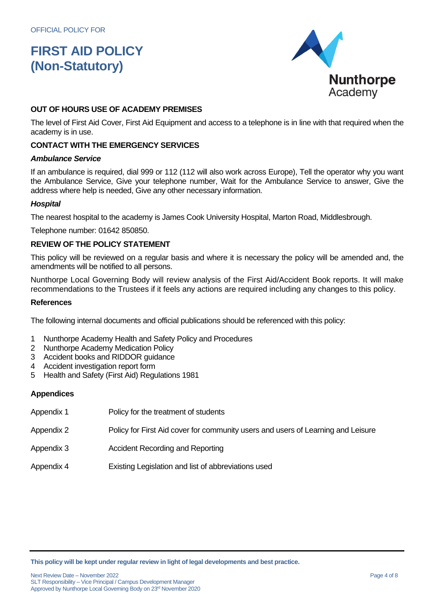

## **OUT OF HOURS USE OF ACADEMY PREMISES**

The level of First Aid Cover, First Aid Equipment and access to a telephone is in line with that required when the academy is in use.

#### **CONTACT WITH THE EMERGENCY SERVICES**

#### *Ambulance Service*

If an ambulance is required, dial 999 or 112 (112 will also work across Europe), Tell the operator why you want the Ambulance Service, Give your telephone number, Wait for the Ambulance Service to answer, Give the address where help is needed, Give any other necessary information.

#### *Hospital*

The nearest hospital to the academy is James Cook University Hospital, Marton Road, Middlesbrough.

Telephone number: 01642 850850.

## **REVIEW OF THE POLICY STATEMENT**

This policy will be reviewed on a regular basis and where it is necessary the policy will be amended and, the amendments will be notified to all persons.

Nunthorpe Local Governing Body will review analysis of the First Aid/Accident Book reports. It will make recommendations to the Trustees if it feels any actions are required including any changes to this policy.

#### **References**

The following internal documents and official publications should be referenced with this policy:

- 1 Nunthorpe Academy Health and Safety Policy and Procedures
- 2 Nunthorpe Academy Medication Policy
- 3 Accident books and RIDDOR guidance
- 4 Accident investigation report form
- 5 Health and Safety (First Aid) Regulations 1981

#### **Appendices**

- Appendix 1 Policy for the treatment of students
- Appendix 2 Policy for First Aid cover for community users and users of Learning and Leisure
- Appendix 3 Accident Recording and Reporting
- Appendix 4 Existing Legislation and list of abbreviations used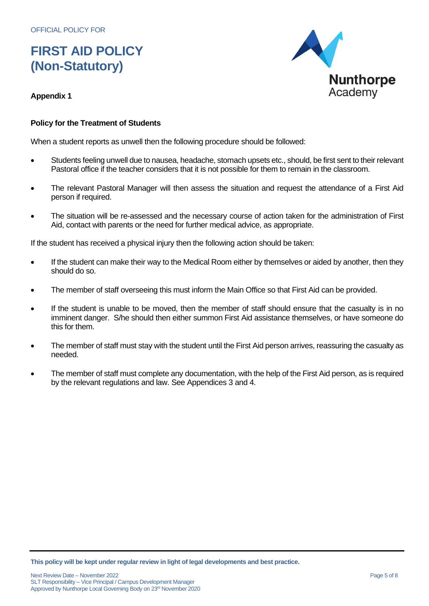

## **Appendix 1**

## **Policy for the Treatment of Students**

When a student reports as unwell then the following procedure should be followed:

- Students feeling unwell due to nausea, headache, stomach upsets etc., should, be first sent to their relevant Pastoral office if the teacher considers that it is not possible for them to remain in the classroom.
- The relevant Pastoral Manager will then assess the situation and request the attendance of a First Aid person if required.
- The situation will be re-assessed and the necessary course of action taken for the administration of First Aid, contact with parents or the need for further medical advice, as appropriate.

If the student has received a physical injury then the following action should be taken:

- If the student can make their way to the Medical Room either by themselves or aided by another, then they should do so.
- The member of staff overseeing this must inform the Main Office so that First Aid can be provided.
- If the student is unable to be moved, then the member of staff should ensure that the casualty is in no imminent danger. S/he should then either summon First Aid assistance themselves, or have someone do this for them.
- The member of staff must stay with the student until the First Aid person arrives, reassuring the casualty as needed.
- The member of staff must complete any documentation, with the help of the First Aid person, as is required by the relevant regulations and law. See Appendices 3 and 4.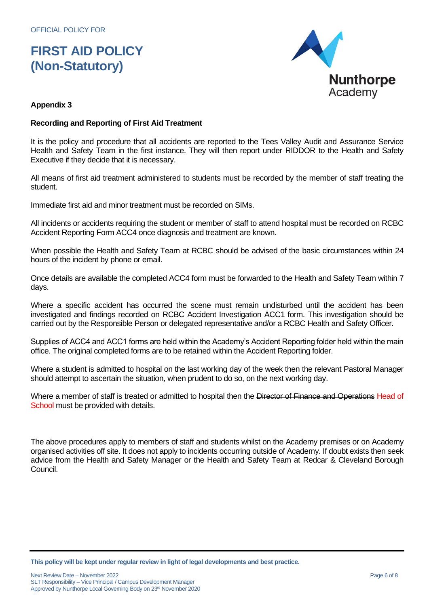

## **Appendix 3**

## **Recording and Reporting of First Aid Treatment**

It is the policy and procedure that all accidents are reported to the Tees Valley Audit and Assurance Service Health and Safety Team in the first instance. They will then report under RIDDOR to the Health and Safety Executive if they decide that it is necessary.

All means of first aid treatment administered to students must be recorded by the member of staff treating the student.

Immediate first aid and minor treatment must be recorded on SIMs.

All incidents or accidents requiring the student or member of staff to attend hospital must be recorded on RCBC Accident Reporting Form ACC4 once diagnosis and treatment are known.

When possible the Health and Safety Team at RCBC should be advised of the basic circumstances within 24 hours of the incident by phone or email.

Once details are available the completed ACC4 form must be forwarded to the Health and Safety Team within 7 days.

Where a specific accident has occurred the scene must remain undisturbed until the accident has been investigated and findings recorded on RCBC Accident Investigation ACC1 form. This investigation should be carried out by the Responsible Person or delegated representative and/or a RCBC Health and Safety Officer.

Supplies of ACC4 and ACC1 forms are held within the Academy's Accident Reporting folder held within the main office. The original completed forms are to be retained within the Accident Reporting folder.

Where a student is admitted to hospital on the last working day of the week then the relevant Pastoral Manager should attempt to ascertain the situation, when prudent to do so, on the next working day.

Where a member of staff is treated or admitted to hospital then the Director of Finance and Operations Head of School must be provided with details.

The above procedures apply to members of staff and students whilst on the Academy premises or on Academy organised activities off site. It does not apply to incidents occurring outside of Academy. If doubt exists then seek advice from the Health and Safety Manager or the Health and Safety Team at Redcar & Cleveland Borough Council.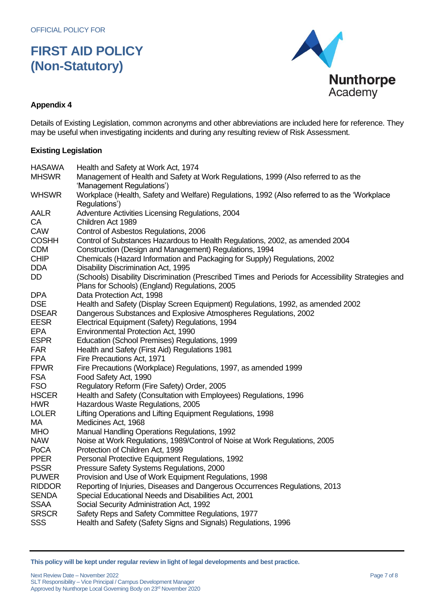

## **Appendix 4**

Details of Existing Legislation, common acronyms and other abbreviations are included here for reference. They may be useful when investigating incidents and during any resulting review of Risk Assessment.

### **Existing Legislation**

| <b>HASAWA</b> | Health and Safety at Work Act, 1974                                                                |
|---------------|----------------------------------------------------------------------------------------------------|
| <b>MHSWR</b>  | Management of Health and Safety at Work Regulations, 1999 (Also referred to as the                 |
|               | 'Management Regulations')                                                                          |
| <b>WHSWR</b>  | Workplace (Health, Safety and Welfare) Regulations, 1992 (Also referred to as the 'Workplace       |
|               | Regulations')                                                                                      |
| <b>AALR</b>   | Adventure Activities Licensing Regulations, 2004                                                   |
| CA            | Children Act 1989                                                                                  |
| CAW           | Control of Asbestos Regulations, 2006                                                              |
| <b>COSHH</b>  | Control of Substances Hazardous to Health Regulations, 2002, as amended 2004                       |
| <b>CDM</b>    | Construction (Design and Management) Regulations, 1994                                             |
| <b>CHIP</b>   | Chemicals (Hazard Information and Packaging for Supply) Regulations, 2002                          |
| <b>DDA</b>    | Disability Discrimination Act, 1995                                                                |
| DD            | (Schools) Disability Discrimination (Prescribed Times and Periods for Accessibility Strategies and |
|               | Plans for Schools) (England) Regulations, 2005                                                     |
| <b>DPA</b>    | Data Protection Act, 1998                                                                          |
| <b>DSE</b>    | Health and Safety (Display Screen Equipment) Regulations, 1992, as amended 2002                    |
| <b>DSEAR</b>  | Dangerous Substances and Explosive Atmospheres Regulations, 2002                                   |
| <b>EESR</b>   | Electrical Equipment (Safety) Regulations, 1994                                                    |
| <b>EPA</b>    | Environmental Protection Act, 1990                                                                 |
| <b>ESPR</b>   | Education (School Premises) Regulations, 1999                                                      |
| <b>FAR</b>    | Health and Safety (First Aid) Regulations 1981                                                     |
| <b>FPA</b>    | Fire Precautions Act, 1971                                                                         |
| <b>FPWR</b>   | Fire Precautions (Workplace) Regulations, 1997, as amended 1999                                    |
| <b>FSA</b>    | Food Safety Act, 1990                                                                              |
| <b>FSO</b>    | Regulatory Reform (Fire Safety) Order, 2005                                                        |
| <b>HSCER</b>  | Health and Safety (Consultation with Employees) Regulations, 1996                                  |
| <b>HWR</b>    | Hazardous Waste Regulations, 2005                                                                  |
| <b>LOLER</b>  | Lifting Operations and Lifting Equipment Regulations, 1998                                         |
| МA            | Medicines Act, 1968                                                                                |
| <b>MHO</b>    | Manual Handling Operations Regulations, 1992                                                       |
| <b>NAW</b>    | Noise at Work Regulations, 1989/Control of Noise at Work Regulations, 2005                         |
| PoCA          | Protection of Children Act, 1999                                                                   |
| <b>PPER</b>   | Personal Protective Equipment Regulations, 1992                                                    |
| <b>PSSR</b>   | Pressure Safety Systems Regulations, 2000                                                          |
| <b>PUWER</b>  | Provision and Use of Work Equipment Regulations, 1998                                              |
| <b>RIDDOR</b> | Reporting of Injuries, Diseases and Dangerous Occurrences Regulations, 2013                        |
| <b>SENDA</b>  | Special Educational Needs and Disabilities Act, 2001                                               |
| <b>SSAA</b>   | Social Security Administration Act, 1992                                                           |
| <b>SRSCR</b>  | Safety Reps and Safety Committee Regulations, 1977                                                 |
| <b>SSS</b>    | Health and Safety (Safety Signs and Signals) Regulations, 1996                                     |

**This policy will be kept under regular review in light of legal developments and best practice.**